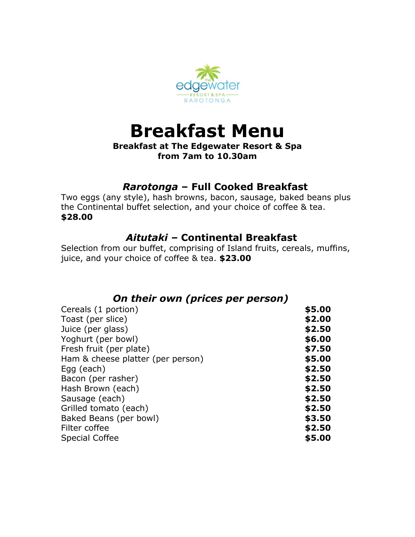

## **Breakfast Menu**

#### **Breakfast at The Edgewater Resort & Spa from 7am to 10.30am**

## *Rarotonga* **– Full Cooked Breakfast**

Two eggs (any style), hash browns, bacon, sausage, baked beans plus the Continental buffet selection, and your choice of coffee & tea. **\$28.00**

## *Aitutaki –* **Continental Breakfast**

Selection from our buffet, comprising of Island fruits, cereals, muffins, juice, and your choice of coffee & tea. **\$23.00**

## *On their own (prices per person)*

| Cereals (1 portion)               | \$5.00 |
|-----------------------------------|--------|
| Toast (per slice)                 | \$2.00 |
| Juice (per glass)                 | \$2.50 |
| Yoghurt (per bowl)                | \$6.00 |
| Fresh fruit (per plate)           | \$7.50 |
| Ham & cheese platter (per person) | \$5.00 |
| Egg (each)                        | \$2.50 |
| Bacon (per rasher)                | \$2.50 |
| Hash Brown (each)                 | \$2.50 |
| Sausage (each)                    | \$2.50 |
| Grilled tomato (each)             | \$2.50 |
| Baked Beans (per bowl)            | \$3.50 |
| Filter coffee                     | \$2.50 |
| <b>Special Coffee</b>             | \$5.00 |
|                                   |        |